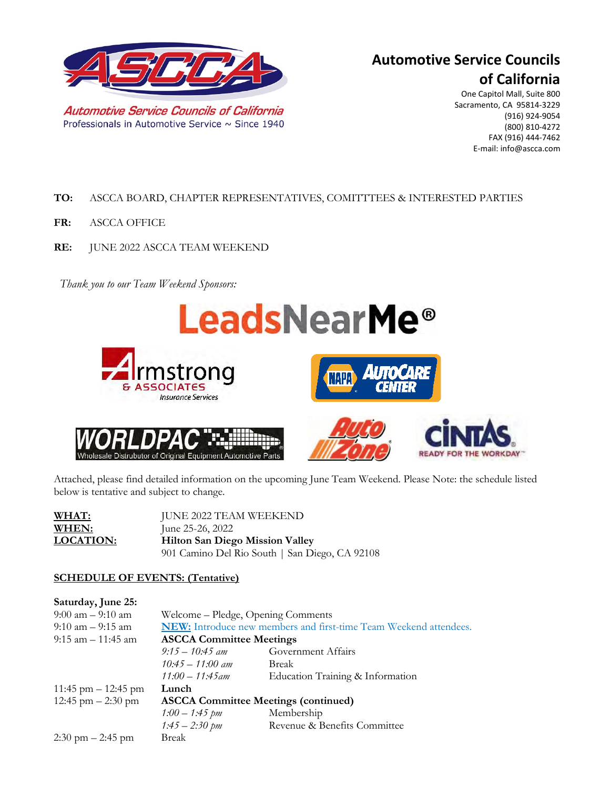

# **Automotive Service Councils of California**

One Capitol Mall, Suite 800 Sacramento, CA 95814-3229 (916) 924-9054 (800) 810-4272 FAX (916) 444-7462 E-mail: info@ascca.com

- **TO:** ASCCA BOARD, CHAPTER REPRESENTATIVES, COMITTTEES & INTERESTED PARTIES
- **FR:** ASCCA OFFICE
- **RE:** JUNE 2022 ASCCA TEAM WEEKEND

*Thank you to our Team Weekend Sponsors:*



Attached, please find detailed information on the upcoming June Team Weekend. Please Note: the schedule listed below is tentative and subject to change.

| WHAT:            | JUNE 2022 TEAM WEEKEND                         |  |  |
|------------------|------------------------------------------------|--|--|
| WHEN:            | June 25-26, 2022                               |  |  |
| <b>LOCATION:</b> | <b>Hilton San Diego Mission Valley</b>         |  |  |
|                  | 901 Camino Del Rio South   San Diego, CA 92108 |  |  |

### **SCHEDULE OF EVENTS: (Tentative)**

| Welcome – Pledge, Opening Comments                                |                                  |  |
|-------------------------------------------------------------------|----------------------------------|--|
| NEW: Introduce new members and first-time Team Weekend attendees. |                                  |  |
| <b>ASCCA Committee Meetings</b>                                   |                                  |  |
| $9:15-10:45$ am                                                   | Government Affairs               |  |
| $10.45 - 11.00$ am                                                | Break                            |  |
| $11:00 - 11:45$ am                                                | Education Training & Information |  |
| Lunch                                                             |                                  |  |
| <b>ASCCA Committee Meetings (continued)</b>                       |                                  |  |
| $1:00-1:45 \; \text{pm}$                                          | Membership                       |  |
| $1:45 - 2:30 \, \text{pm}$                                        | Revenue & Benefits Committee     |  |
| Break                                                             |                                  |  |
|                                                                   |                                  |  |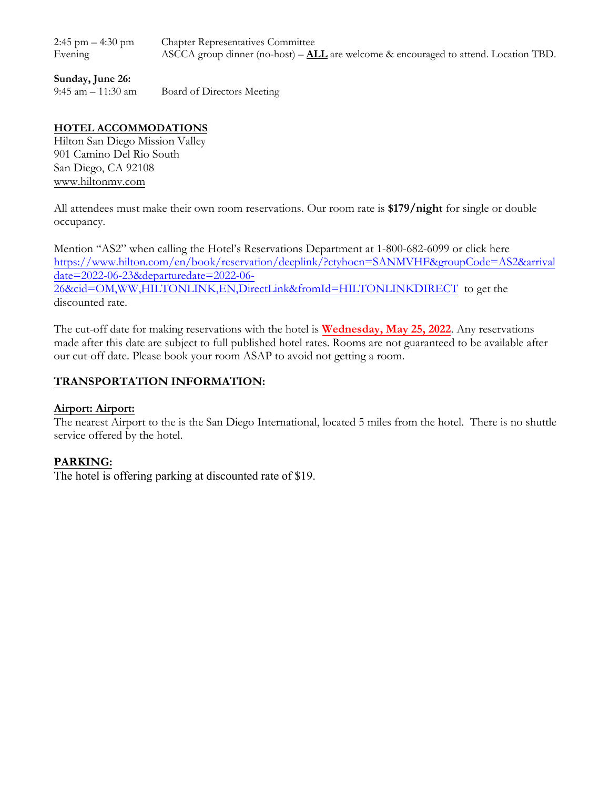Chapter Representatives Committee ASCCA group dinner (no-host) – **ALL** are welcome & encouraged to attend. Location TBD.  $2:45$  pm  $-4:30$  pm Evening

#### **Sunday, June 26:**

9:45 am – 11:30 am Board of Directors Meeting

## **HOTEL ACCOMMODATIONS**

Hilton San Diego Mission Valley 901 Camino Del Rio South San Diego, CA 92108 [www.hiltonmv.com](https://nam02.safelinks.protection.outlook.com/?url=http%3A%2F%2Fwww.hiltonmv.com%2F&data=04%7C01%7CTiani.Carter%40Hilton.com%7C9b905d4e210b4c67f0ee08d9941e461e%7C660292d2cfd54a3db7a7e8f7ee458a0a%7C0%7C0%7C637703680012059112%7CUnknown%7CTWFpbGZsb3d8eyJWIjoiMC4wLjAwMDAiLCJQIjoiV2luMzIiLCJBTiI6Ik1haWwiLCJXVCI6Mn0%3D%7C1000&sdata=nyMsbHiIhw96E73hNd%2Fln8tiY5If8zszmCsfmqxyxTI%3D&reserved=0)

All attendees must make their own room reservations. Our room rate is **\$179/night** for single or double occupancy.

Mention "AS2" when calling the Hotel's Reservations Department at 1-800-682-6099 or click here [https://www.hilton.com/en/book/reservation/deeplink/?ctyhocn=SANMVHF&groupCode=AS2&arrival](https://nam02.safelinks.protection.outlook.com/?url=https%3A%2F%2Fwww.hilton.com%2Fen%2Fbook%2Freservation%2Fdeeplink%2F%3Fctyhocn%3DSANMVHF%26groupCode%3DAS2%26arrivaldate%3D2022-06-23%26departuredate%3D2022-06-26%26cid%3DOM%2CWW%2CHILTONLINK%2CEN%2CDirectLink%26fromId%3DHILTONLINKDIRECT&data=04%7C01%7CTiani.Carter%40Hilton.com%7C9b905d4e210b4c67f0ee08d9941e461e%7C660292d2cfd54a3db7a7e8f7ee458a0a%7C0%7C0%7C637703680012049112%7CUnknown%7CTWFpbGZsb3d8eyJWIjoiMC4wLjAwMDAiLCJQIjoiV2luMzIiLCJBTiI6Ik1haWwiLCJXVCI6Mn0%3D%7C1000&sdata=uKByfJbOsCx5U1viqVRIeZ%2F8kMqCgBW4ypYfaRC5U%2BM%3D&reserved=0) [date=2022-06-23&departuredate=2022-06-](https://nam02.safelinks.protection.outlook.com/?url=https%3A%2F%2Fwww.hilton.com%2Fen%2Fbook%2Freservation%2Fdeeplink%2F%3Fctyhocn%3DSANMVHF%26groupCode%3DAS2%26arrivaldate%3D2022-06-23%26departuredate%3D2022-06-26%26cid%3DOM%2CWW%2CHILTONLINK%2CEN%2CDirectLink%26fromId%3DHILTONLINKDIRECT&data=04%7C01%7CTiani.Carter%40Hilton.com%7C9b905d4e210b4c67f0ee08d9941e461e%7C660292d2cfd54a3db7a7e8f7ee458a0a%7C0%7C0%7C637703680012049112%7CUnknown%7CTWFpbGZsb3d8eyJWIjoiMC4wLjAwMDAiLCJQIjoiV2luMzIiLCJBTiI6Ik1haWwiLCJXVCI6Mn0%3D%7C1000&sdata=uKByfJbOsCx5U1viqVRIeZ%2F8kMqCgBW4ypYfaRC5U%2BM%3D&reserved=0) [26&cid=OM,WW,HILTONLINK,EN,DirectLink&fromId=HILTONLINKDIRECT](https://nam02.safelinks.protection.outlook.com/?url=https%3A%2F%2Fwww.hilton.com%2Fen%2Fbook%2Freservation%2Fdeeplink%2F%3Fctyhocn%3DSANMVHF%26groupCode%3DAS2%26arrivaldate%3D2022-06-23%26departuredate%3D2022-06-26%26cid%3DOM%2CWW%2CHILTONLINK%2CEN%2CDirectLink%26fromId%3DHILTONLINKDIRECT&data=04%7C01%7CTiani.Carter%40Hilton.com%7C9b905d4e210b4c67f0ee08d9941e461e%7C660292d2cfd54a3db7a7e8f7ee458a0a%7C0%7C0%7C637703680012049112%7CUnknown%7CTWFpbGZsb3d8eyJWIjoiMC4wLjAwMDAiLCJQIjoiV2luMzIiLCJBTiI6Ik1haWwiLCJXVCI6Mn0%3D%7C1000&sdata=uKByfJbOsCx5U1viqVRIeZ%2F8kMqCgBW4ypYfaRC5U%2BM%3D&reserved=0) to get the discounted rate.

The cut-off date for making reservations with the hotel is **Wednesday, May 25, 2022**. Any reservations made after this date are subject to full published hotel rates. Rooms are not guaranteed to be available after our cut-off date. Please book your room ASAP to avoid not getting a room.

### **TRANSPORTATION INFORMATION:**

#### **Airport: Airport:**

The nearest Airport to the is the San Diego International, located 5 miles from the hotel. There is no shuttle service offered by the hotel.

### **PARKING:**

The hotel is offering parking at discounted rate of \$19.